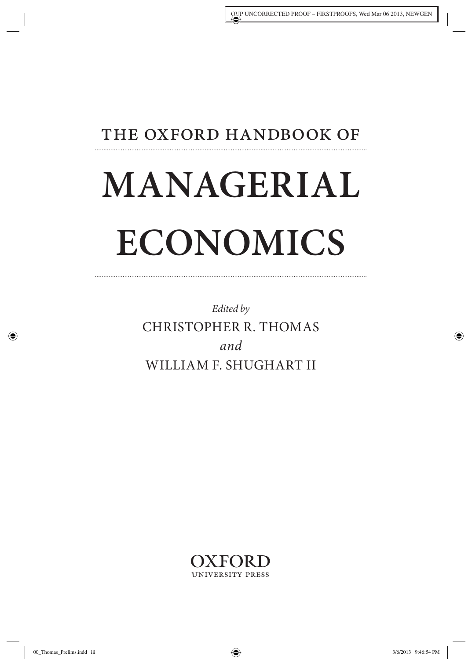# THE OXFORD HANDBOOK OF

# **MANAGERIAL ECONOMICS**

 *Edited by*  CHRISTOPHER R. THOMAS *and*  WILLIAM F. SHUGHART II



00\_Thomas\_Prelims.indd iii 3/6/2013 9:46:54 PM /6/2013 9:46:54 PM /6/2013 9:46:54 PM /6/2013 9:46:54 PM /6/2013 9:46:54 PM /6/2013 9:46:54 PM /6/2013 9:46:54 PM /6/2013 9:46:54 PM /6/2013 9:46:54 PM /6/2013 9:46:54 PM /6/2

⊕

 $\Leftrightarrow$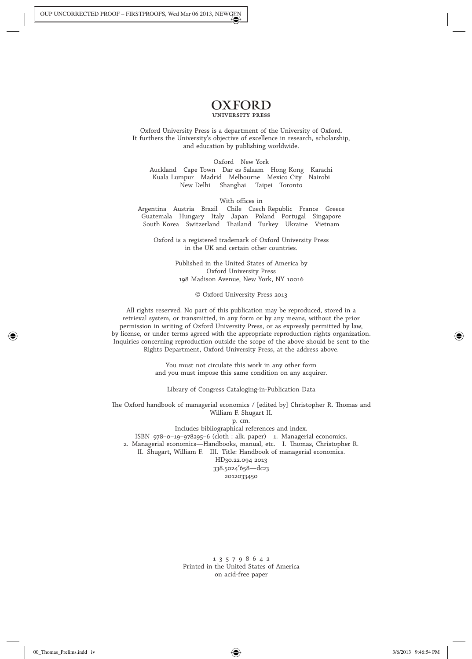OUP UNCORRECTED PROOF - FIRSTPROOFS, Wed Mar 06 2013, NEWG

# **OXFORD**<br>UNIVERSITY PRESS

 Oxford University Press is a department of the University of Oxford. It furthers the University's objective of excellence in research, scholarship, and education by publishing worldwide.

 Oxford New York Auckland Cape Town Dar es Salaam Hong Kong Karachi Kuala Lumpur Madrid Melbourne Mexico City Nairobi New Delhi Shanghai Taipei Toronto

With offices in

Argentina Austria Brazil Chile Czech Republic France Greece Guatemala Hungary Italy Japan Poland Portugal Singapore South Korea Switzerland Thailand Turkey Ukraine Vietnam

 Oxford is a registered trademark of Oxford University Press in the UK and certain other countries.

> Published in the United States of America by Oxford University Press 198 Madison Avenue, New York, NY 10016

> > © Oxford University Press 2013

 All rights reserved. No part of this publication may be reproduced, stored in a retrieval system, or transmitted, in any form or by any means, without the prior permission in writing of Oxford University Press, or as expressly permitted by law, by license, or under terms agreed with the appropriate reproduction rights organization. Inquiries concerning reproduction outside the scope of the above should be sent to the Rights Department, Oxford University Press, at the address above.

> You must not circulate this work in any other form and you must impose this same condition on any acquirer.

Library of Congress Cataloging-in-Publication Data

The Oxford handbook of managerial economics / [edited by] Christopher R. Thomas and William F. Shugart II.

p. cm.

Includes bibliographical references and index.

ISBN 978-0-19-978295-6 (cloth : alk. paper) 1. Managerial economics.

2. Managerial economics—Handbooks, manual, etc. I. Thomas, Christopher R.

II. Shugart, William F. III. Title: Handbook of managerial economics.

HD30.22.094 2013

338.5024′658—dc23 2012033450

 1 3 5 7 9 8 6 4 2 Printed in the United States of America on acid-free paper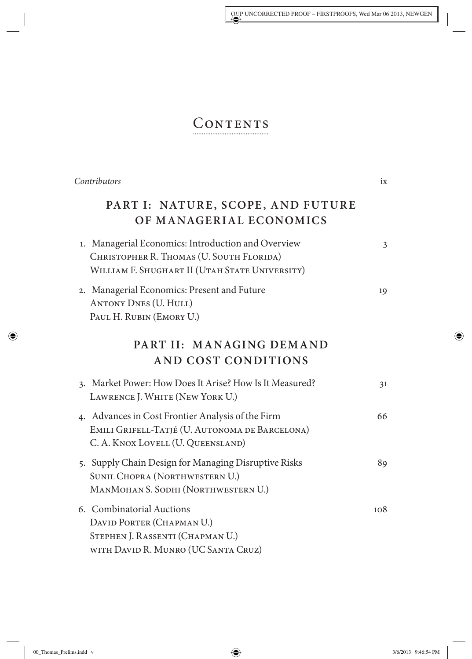OUP UNCORRECTED PROOF – FIRSTPROOFS, Wed Mar 06 2013, NEWGEN

# CONTENTS

| Contributors                                                                                                                                     | ix  |
|--------------------------------------------------------------------------------------------------------------------------------------------------|-----|
| PART I: NATURE, SCOPE, AND FUTURE<br>OF MANAGERIAL ECONOMICS                                                                                     |     |
| 1. Managerial Economics: Introduction and Overview<br>CHRISTOPHER R. THOMAS (U. SOUTH FLORIDA)<br>WILLIAM F. SHUGHART II (UTAH STATE UNIVERSITY) | 3   |
| 2. Managerial Economics: Present and Future<br><b>ANTONY DNES (U. HULL)</b><br>PAUL H. RUBIN (EMORY U.)                                          | 19  |
| PART II: MANAGING DEMAND<br><b>AND COST CONDITIONS</b>                                                                                           |     |
| 3. Market Power: How Does It Arise? How Is It Measured?<br>LAWRENCE J. WHITE (NEW YORK U.)                                                       | 31  |
| 4. Advances in Cost Frontier Analysis of the Firm<br>EMILI GRIFELL-TATJÉ (U. AUTONOMA DE BARCELONA)<br>C. A. KNOX LOVELL (U. QUEENSLAND)         | 66  |
| 5. Supply Chain Design for Managing Disruptive Risks<br><b>SUNIL CHOPRA (NORTHWESTERN U.)</b><br>MANMOHAN S. SODHI (NORTHWESTERN U.)             | 89  |
| 6. Combinatorial Auctions<br>DAVID PORTER (CHAPMAN U.)<br>STEPHEN J. RASSENTI (CHAPMAN U.)<br>WITH DAVID R. MUNRO (UC SANTA CRUZ)                | 108 |

 $\bigoplus$ 

 $\bigoplus$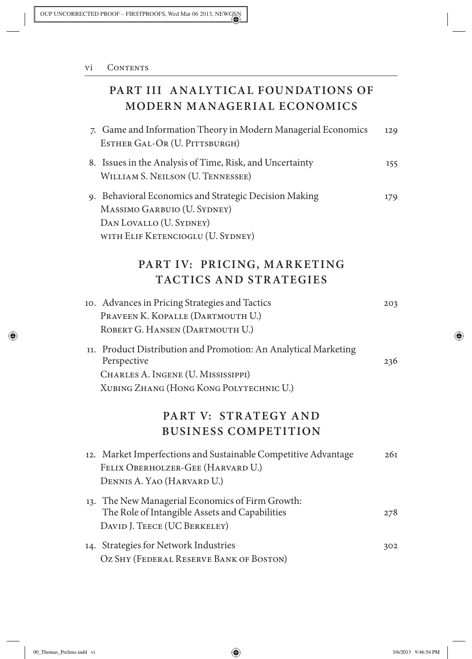## vi CONTENTS

# PART III ANALYTICAL FOUNDATIONS OF **MODERN MANAGERIAL ECONOMICS**

| 7. Game and Information Theory in Modern Managerial Economics<br>ESTHER GAL-OR (U. PITTSBURGH)                                                                  | 129 |
|-----------------------------------------------------------------------------------------------------------------------------------------------------------------|-----|
| 8. Issues in the Analysis of Time, Risk, and Uncertainty<br>WILLIAM S. NEILSON (U. TENNESSEE)                                                                   | 155 |
| 9. Behavioral Economics and Strategic Decision Making<br>MASSIMO GARBUIO (U. SYDNEY)<br>DAN LOVALLO (U. SYDNEY)<br>WITH ELIF KETENCIOGLU (U. SYDNEY)            | 179 |
| PART IV: PRICING, MARKETING<br>TACTICS AND STRATEGIES                                                                                                           |     |
| 10. Advances in Pricing Strategies and Tactics<br>PRAVEEN K. KOPALLE (DARTMOUTH U.)<br>ROBERT G. HANSEN (DARTMOUTH U.)                                          | 203 |
| 11. Product Distribution and Promotion: An Analytical Marketing<br>Perspective<br>CHARLES A. INGENE (U. MISSISSIPPI)<br>XUBING ZHANG (HONG KONG POLYTECHNIC U.) | 236 |
| PART V: STRATEGY AND<br><b>BUSINESS COMPETITION</b>                                                                                                             |     |
| 12. Market Imperfections and Sustainable Competitive Advantage<br>FELIX OBERHOLZER-GEE (HARVARD U.)<br>DENNIS A. YAO (HARVARD U.)                               | 261 |
| 13. The New Managerial Economics of Firm Growth:<br>The Role of Intangible Assets and Capabilities<br>DAVID J. TEECE (UC BERKELEY)                              | 278 |
| 14. Strategies for Network Industries                                                                                                                           | 302 |

⊕

⊕

Oz Shy (Federal Reserve Bank of Boston)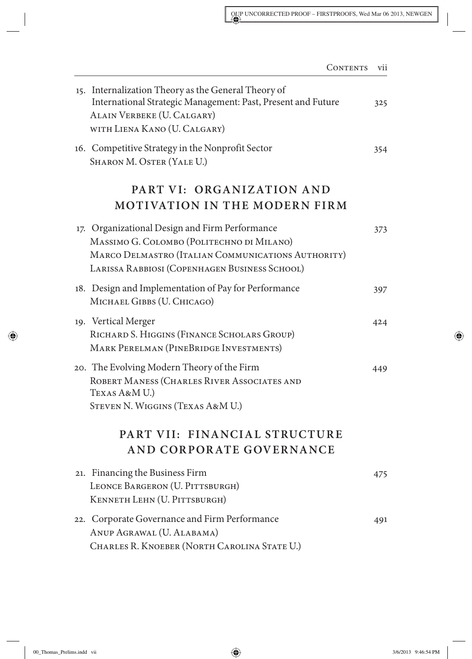| <b>CONTENTS</b>                                                                                                                                                                                    | vii |
|----------------------------------------------------------------------------------------------------------------------------------------------------------------------------------------------------|-----|
| 15. Internalization Theory as the General Theory of<br>International Strategic Management: Past, Present and Future<br>ALAIN VERBEKE (U. CALGARY)                                                  | 325 |
| WITH LIENA KANO (U. CALGARY)                                                                                                                                                                       |     |
| 16. Competitive Strategy in the Nonprofit Sector<br>SHARON M. OSTER (YALE U.)                                                                                                                      | 354 |
| PART VI: ORGANIZATION AND<br><b>MOTIVATION IN THE MODERN FIRM</b>                                                                                                                                  |     |
| 17. Organizational Design and Firm Performance<br>MASSIMO G. COLOMBO (POLITECHNO DI MILANO)<br>MARCO DELMASTRO (ITALIAN COMMUNICATIONS AUTHORITY)<br>LARISSA RABBIOSI (COPENHAGEN BUSINESS SCHOOL) | 373 |
| 18. Design and Implementation of Pay for Performance<br>MICHAEL GIBBS (U. CHICAGO)                                                                                                                 | 397 |
| 19. Vertical Merger<br>RICHARD S. HIGGINS (FINANCE SCHOLARS GROUP)<br>MARK PERELMAN (PINEBRIDGE INVESTMENTS)                                                                                       | 424 |
| 20. The Evolving Modern Theory of the Firm<br>ROBERT MANESS (CHARLES RIVER ASSOCIATES AND<br>TEXAS A&M U.)<br>STEVEN N. WIGGINS (TEXAS A&M U.)                                                     | 449 |
| PART VII: FINANCIAL STRUCTURE<br>AND CORPORATE GOVERNANCE                                                                                                                                          |     |
| 21. Financing the Business Firm<br>LEONCE BARGERON (U. PITTSBURGH)<br>KENNETH LEHN (U. PITTSBURGH)                                                                                                 | 475 |
| 22. Corporate Governance and Firm Performance<br>ANUP AGRAWAL (U. ALABAMA)<br>CHARLES R. KNOEBER (NORTH CAROLINA STATE U.)                                                                         | 491 |

 $\bigoplus$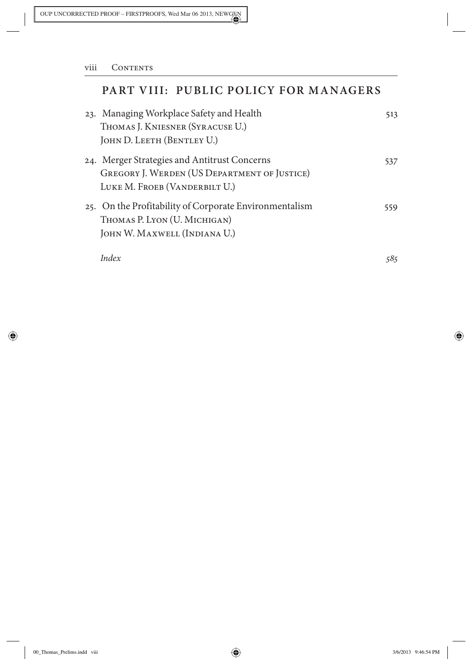## viii CONTENTS

# PART VIII: PUBLIC POLICY FOR MANAGERS

|  | 23. Managing Workplace Safety and Health               | 513  |
|--|--------------------------------------------------------|------|
|  | THOMAS J. KNIESNER (SYRACUSE U.)                       |      |
|  | JOHN D. LEETH (BENTLEY U.)                             |      |
|  | 24. Merger Strategies and Antitrust Concerns           | 537  |
|  | <b>GREGORY J. WERDEN (US DEPARTMENT OF JUSTICE)</b>    |      |
|  | LUKE M. FROEB (VANDERBILT U.)                          |      |
|  | 25. On the Profitability of Corporate Environmentalism | 559. |
|  | THOMAS P. LYON (U. MICHIGAN)                           |      |
|  | JOHN W. MAXWELL (INDIANA U.)                           |      |
|  | <i>Index</i>                                           | 585  |

⊕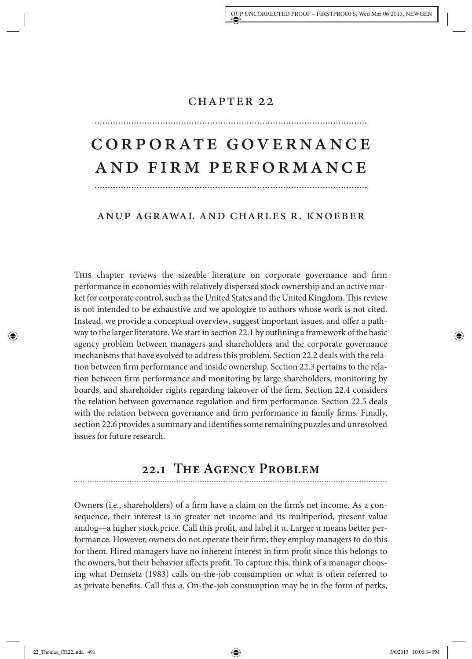## chapter 22

# corp orate governance and firm performance

#### anup agrawal and charles r. knoeber

THIS chapter reviews the sizeable literature on corporate governance and firm performance in economies with relatively dispersed stock ownership and an active market for corporate control, such as the United States and the United Kingdom. This review is not intended to be exhaustive and we apologize to authors whose work is not cited. Instead, we provide a conceptual overview, suggest important issues, and offer a pathway to the larger literature. We start in section 22.1 by outlining a framework of the basic agency problem between managers and shareholders and the corporate governance mechanisms that have evolved to address this problem. Section 22.2 deals with the relation between firm performance and inside ownership. Section 22.3 pertains to the relation between firm performance and monitoring by large shareholders, monitoring by boards, and shareholder rights regarding takeover of the firm. Section 22.4 considers the relation between governance regulation and firm performance. Section 22.5 deals with the relation between governance and firm performance in family firms. Finally, section 22.6 provides a summary and identifies some remaining puzzles and unresolved issues for future research.

# **22.1 The Agency Problem**

Owners (i.e., shareholders) of a firm have a claim on the firm's net income. As a consequence, their interest is in greater net income and its multiperiod, present value analog—a higher stock price. Call this profit, and label it  $\pi$ . Larger  $\pi$  means better performance. However, owners do not operate their firm; they employ managers to do this for them. Hired managers have no inherent interest in firm profit since this belongs to the owners, but their behavior affects profit. To capture this, think of a manager choosing what Demsetz (1983) calls on-the-job consumption or what is often referred to as private benefits. Call this *a*. On-the-job consumption may be in the form of perks,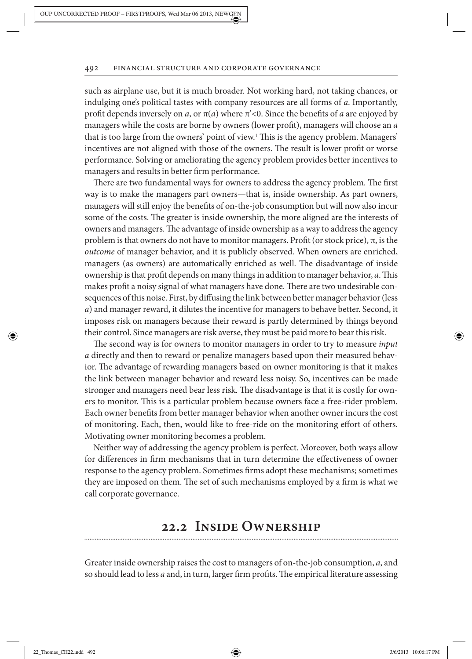such as airplane use, but it is much broader. Not working hard, not taking chances, or indulging one's political tastes with company resources are all forms of *a*. Importantly, profit depends inversely on *a*, or  $π(a)$  where  $π' < 0$ . Since the benefits of *a* are enjoyed by managers while the costs are borne by owners (lower profit), managers will choose an *a* that is too large from the owners' point of view.<sup>1</sup> This is the agency problem. Managers' incentives are not aligned with those of the owners. The result is lower profit or worse performance. Solving or ameliorating the agency problem provides better incentives to managers and results in better firm performance.

There are two fundamental ways for owners to address the agency problem. The first way is to make the managers part owners—that is, inside ownership. As part owners, managers will still enjoy the benefits of on-the-job consumption but will now also incur some of the costs. The greater is inside ownership, the more aligned are the interests of owners and managers. The advantage of inside ownership as a way to address the agency problem is that owners do not have to monitor managers. Profit (or stock price),  $\pi$ , is the *outcome* of manager behavior, and it is publicly observed. When owners are enriched, managers (as owners) are automatically enriched as well. The disadvantage of inside ownership is that profit depends on many things in addition to manager behavior, *a*. This makes profit a noisy signal of what managers have done. There are two undesirable consequences of this noise. First, by diffusing the link between better manager behavior (less *a* ) and manager reward, it dilutes the incentive for managers to behave better. Second, it imposes risk on managers because their reward is partly determined by things beyond their control. Since managers are risk averse, they must be paid more to bear this risk.

The second way is for owners to monitor managers in order to try to measure *input a* directly and then to reward or penalize managers based upon their measured behavior. The advantage of rewarding managers based on owner monitoring is that it makes the link between manager behavior and reward less noisy. So, incentives can be made stronger and managers need bear less risk. The disadvantage is that it is costly for owners to monitor. This is a particular problem because owners face a free-rider problem. Each owner benefits from better manager behavior when another owner incurs the cost of monitoring. Each, then, would like to free-ride on the monitoring effort of others. Motivating owner monitoring becomes a problem.

 Neither way of addressing the agency problem is perfect. Moreover, both ways allow for differences in firm mechanisms that in turn determine the effectiveness of owner response to the agency problem. Sometimes firms adopt these mechanisms; sometimes they are imposed on them. The set of such mechanisms employed by a firm is what we call corporate governance.

# **22.2 Inside Ownership**

 Greater inside ownership raises the cost to managers of on-the-job consumption, *a* , and so should lead to less *a* and, in turn, larger firm profits. The empirical literature assessing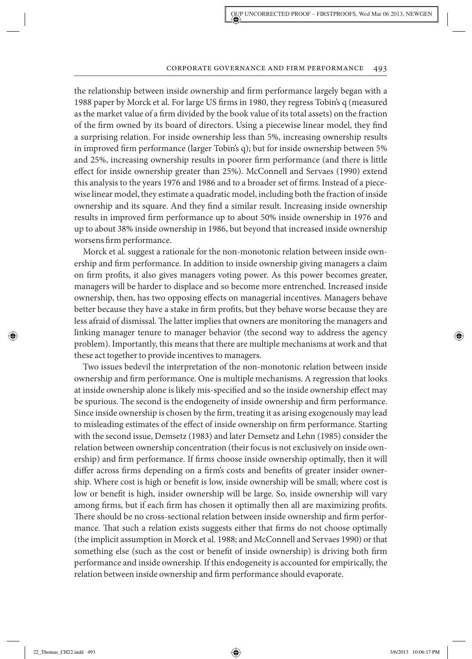the relationship between inside ownership and firm performance largely began with a 1988 paper by Morck et al. For large US firms in 1980, they regress Tobin's q (measured as the market value of a firm divided by the book value of its total assets) on the fraction of the firm owned by its board of directors. Using a piecewise linear model, they find a surprising relation. For inside ownership less than 5%, increasing ownership results in improved firm performance (larger Tobin's q); but for inside ownership between 5% and 25%, increasing ownership results in poorer firm performance (and there is little effect for inside ownership greater than 25%). McConnell and Servaes (1990) extend this analysis to the years 1976 and 1986 and to a broader set of firms. Instead of a piecewise linear model, they estimate a quadratic model, including both the fraction of inside ownership and its square. And they find a similar result. Increasing inside ownership results in improved firm performance up to about 50% inside ownership in 1976 and up to about 38% inside ownership in 1986, but beyond that increased inside ownership worsens firm performance.

 Morck et al. suggest a rationale for the non-monotonic relation between inside ownership and firm performance. In addition to inside ownership giving managers a claim on firm profits, it also gives managers voting power. As this power becomes greater, managers will be harder to displace and so become more entrenched. Increased inside ownership, then, has two opposing effects on managerial incentives. Managers behave better because they have a stake in firm profits, but they behave worse because they are less afraid of dismissal. The latter implies that owners are monitoring the managers and linking manager tenure to manager behavior (the second way to address the agency problem). Importantly, this means that there are multiple mechanisms at work and that these act together to provide incentives to managers.

 Two issues bedevil the interpretation of the non-monotonic relation between inside ownership and firm performance. One is multiple mechanisms. A regression that looks at inside ownership alone is likely mis-specified and so the inside ownership effect may be spurious. The second is the endogeneity of inside ownership and firm performance. Since inside ownership is chosen by the firm, treating it as arising exogenously may lead to misleading estimates of the effect of inside ownership on firm performance. Starting with the second issue, Demsetz (1983) and later Demsetz and Lehn (1985) consider the relation between ownership concentration (their focus is not exclusively on inside ownership) and firm performance. If firms choose inside ownership optimally, then it will differ across firms depending on a firm's costs and benefits of greater insider ownership. Where cost is high or benefit is low, inside ownership will be small; where cost is low or benefit is high, insider ownership will be large. So, inside ownership will vary among firms, but if each firm has chosen it optimally then all are maximizing profits. There should be no cross-sectional relation between inside ownership and firm performance. That such a relation exists suggests either that firms do not choose optimally (the implicit assumption in Morck et al. 1988; and McConnell and Servaes 1990) or that something else (such as the cost or benefit of inside ownership) is driving both firm performance and inside ownership. If this endogeneity is accounted for empirically, the relation between inside ownership and firm performance should evaporate.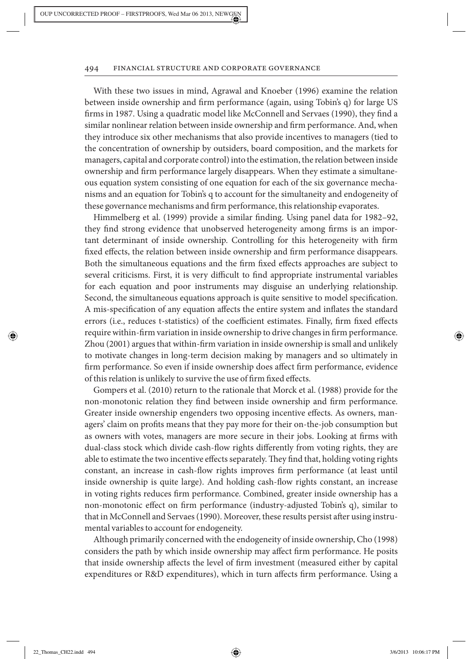With these two issues in mind, Agrawal and Knoeber (1996) examine the relation between inside ownership and firm performance (again, using Tobin's q) for large US firms in 1987. Using a quadratic model like McConnell and Servaes (1990), they find a similar nonlinear relation between inside ownership and firm performance. And, when they introduce six other mechanisms that also provide incentives to managers (tied to the concentration of ownership by outsiders, board composition, and the markets for managers, capital and corporate control) into the estimation, the relation between inside ownership and firm performance largely disappears. When they estimate a simultaneous equation system consisting of one equation for each of the six governance mechanisms and an equation for Tobin's q to account for the simultaneity and endogeneity of these governance mechanisms and firm performance, this relationship evaporates.

Himmelberg et al. (1999) provide a similar finding. Using panel data for 1982–92, they find strong evidence that unobserved heterogeneity among firms is an important determinant of inside ownership. Controlling for this heterogeneity with firm fixed effects, the relation between inside ownership and firm performance disappears. Both the simultaneous equations and the firm fixed effects approaches are subject to several criticisms. First, it is very difficult to find appropriate instrumental variables for each equation and poor instruments may disguise an underlying relationship. Second, the simultaneous equations approach is quite sensitive to model specification. A mis-specification of any equation affects the entire system and inflates the standard errors (i.e., reduces t-statistics) of the coefficient estimates. Finally, firm fixed effects require within-firm variation in inside ownership to drive changes in firm performance. Zhou (2001) argues that within-firm variation in inside ownership is small and unlikely to motivate changes in long-term decision making by managers and so ultimately in firm performance. So even if inside ownership does affect firm performance, evidence of this relation is unlikely to survive the use of firm fixed effects.

 Gompers et al. (2010) return to the rationale that Morck et al. (1988) provide for the non-monotonic relation they find between inside ownership and firm performance. Greater inside ownership engenders two opposing incentive effects. As owners, managers' claim on profits means that they pay more for their on-the-job consumption but as owners with votes, managers are more secure in their jobs. Looking at firms with dual-class stock which divide cash-flow rights differently from voting rights, they are able to estimate the two incentive effects separately. They find that, holding voting rights constant, an increase in cash-flow rights improves firm performance (at least until inside ownership is quite large). And holding cash-flow rights constant, an increase in voting rights reduces firm performance. Combined, greater inside ownership has a non-monotonic effect on firm performance (industry-adjusted Tobin's q), similar to that in McConnell and Servaes (1990). Moreover, these results persist after using instrumental variables to account for endogeneity.

 Although primarily concerned with the endogeneity of inside ownership, Cho (1998) considers the path by which inside ownership may affect firm performance. He posits that inside ownership affects the level of firm investment (measured either by capital expenditures or R&D expenditures), which in turn affects firm performance. Using a

22\_Thomas\_CH22.indd 494 22\_Thomas\_CH22.indd 494 22\_Thomas\_CH22.indd 494 22\_Thomas\_CH22.indd 494 23/6/2013 10:06:17 PM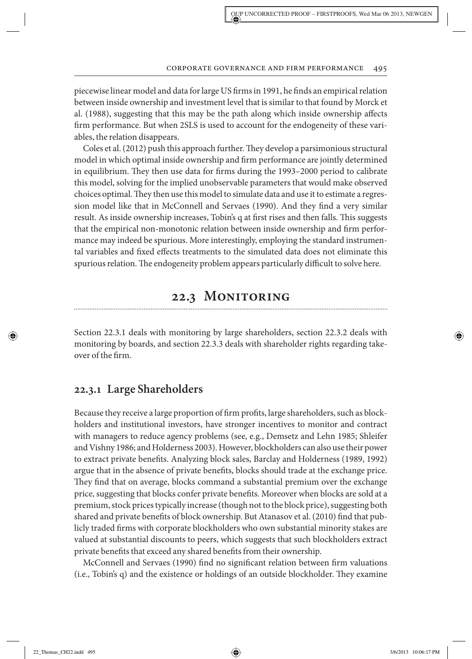piecewise linear model and data for large US firms in 1991, he finds an empirical relation between inside ownership and investment level that is similar to that found by Morck et al. (1988), suggesting that this may be the path along which inside ownership affects firm performance. But when 2SLS is used to account for the endogeneity of these variables, the relation disappears.

Coles et al. (2012) push this approach further. They develop a parsimonious structural model in which optimal inside ownership and firm performance are jointly determined in equilibrium. They then use data for firms during the 1993–2000 period to calibrate this model, solving for the implied unobservable parameters that would make observed choices optimal. They then use this model to simulate data and use it to estimate a regression model like that in McConnell and Servaes (1990). And they find a very similar result. As inside ownership increases, Tobin's q at first rises and then falls. This suggests that the empirical non-monotonic relation between inside ownership and firm performance may indeed be spurious. More interestingly, employing the standard instrumental variables and fixed effects treatments to the simulated data does not eliminate this spurious relation. The endogeneity problem appears particularly difficult to solve here.

## **22.3 Monitoring**

 Section 22.3.1 deals with monitoring by large shareholders, section 22.3.2 deals with monitoring by boards, and section 22.3.3 deals with shareholder rights regarding takeover of the firm.

### **22.3.1 Large Shareholders**

Because they receive a large proportion of firm profits, large shareholders, such as blockholders and institutional investors, have stronger incentives to monitor and contract with managers to reduce agency problems (see, e.g., Demsetz and Lehn 1985; Shleifer and Vishny 1986; and Holderness 2003). However, blockholders can also use their power to extract private benefits. Analyzing block sales, Barclay and Holderness (1989, 1992) argue that in the absence of private benefits, blocks should trade at the exchange price. They find that on average, blocks command a substantial premium over the exchange price, suggesting that blocks confer private benefits. Moreover when blocks are sold at a premium, stock prices typically increase (though not to the block price), suggesting both shared and private benefits of block ownership. But Atanasov et al. (2010) find that publicly traded firms with corporate blockholders who own substantial minority stakes are valued at substantial discounts to peers, which suggests that such blockholders extract private benefits that exceed any shared benefits from their ownership.

McConnell and Servaes (1990) find no significant relation between firm valuations  $(i.e., Tobin's q)$  and the existence or holdings of an outside blockholder. They examine

↔

↔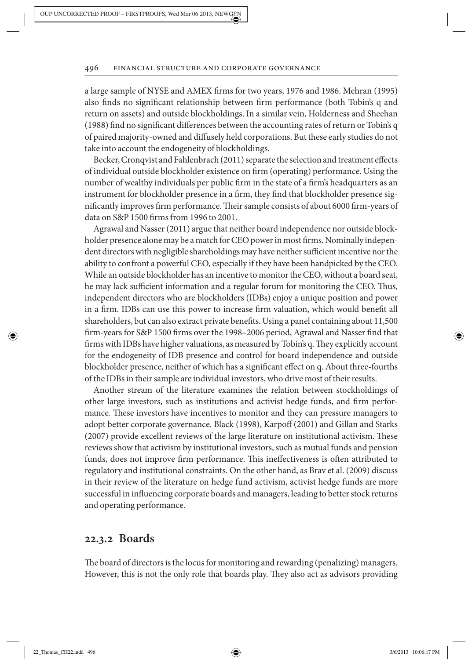a large sample of NYSE and AMEX firms for two years, 1976 and 1986. Mehran (1995) also finds no significant relationship between firm performance (both Tobin's q and return on assets) and outside blockholdings. In a similar vein, Holderness and Sheehan  $(1988)$  find no significant differences between the accounting rates of return or Tobin's q of paired majority-owned and diffusely held corporations. But these early studies do not take into account the endogeneity of blockholdings.

Becker, Cronqvist and Fahlenbrach (2011) separate the selection and treatment effects of individual outside blockholder existence on firm (operating) performance. Using the number of wealthy individuals per public firm in the state of a firm's headquarters as an instrument for blockholder presence in a firm, they find that blockholder presence significantly improves firm performance. Their sample consists of about 6000 firm-years of data on S&P 1500 firms from 1996 to 2001.

 Agrawal and Nasser (2011) argue that neither board independence nor outside blockholder presence alone may be a match for CEO power in most firms. Nominally independent directors with negligible shareholdings may have neither sufficient incentive nor the ability to confront a powerful CEO, especially if they have been handpicked by the CEO. While an outside blockholder has an incentive to monitor the CEO, without a board seat, he may lack sufficient information and a regular forum for monitoring the CEO. Thus, independent directors who are blockholders (IDBs) enjoy a unique position and power in a firm. IDBs can use this power to increase firm valuation, which would benefit all shareholders, but can also extract private benefits. Using a panel containing about 11,500 firm-years for S&P 1500 firms over the 1998–2006 period, Agrawal and Nasser find that firms with IDBs have higher valuations, as measured by Tobin's q. They explicitly account for the endogeneity of IDB presence and control for board independence and outside blockholder presence, neither of which has a significant effect on q. About three-fourths of the IDBs in their sample are individual investors, who drive most of their results.

 Another stream of the literature examines the relation between stockholdings of other large investors, such as institutions and activist hedge funds, and firm performance. These investors have incentives to monitor and they can pressure managers to adopt better corporate governance. Black (1998), Karpoff (2001) and Gillan and Starks (2007) provide excellent reviews of the large literature on institutional activism. These reviews show that activism by institutional investors, such as mutual funds and pension funds, does not improve firm performance. This ineffectiveness is often attributed to regulatory and institutional constraints. On the other hand, as Brav et al. (2009) discuss in their review of the literature on hedge fund activism, activist hedge funds are more successful in influencing corporate boards and managers, leading to better stock returns and operating performance.

## **22.3.2 Boards**

The board of directors is the locus for monitoring and rewarding (penalizing) managers. However, this is not the only role that boards play. They also act as advisors providing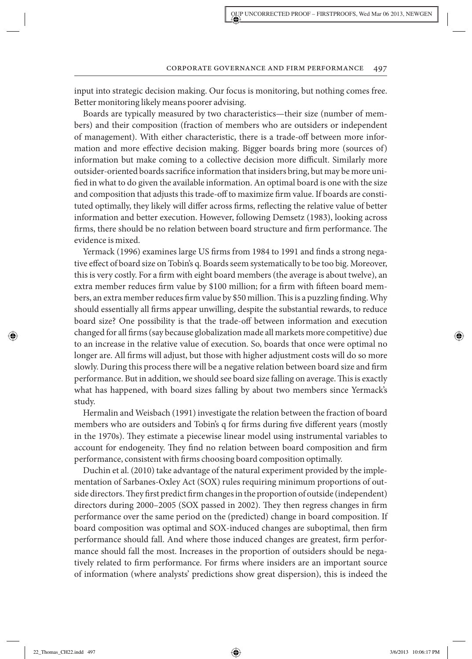input into strategic decision making. Our focus is monitoring, but nothing comes free. Better monitoring likely means poorer advising.

 Boards are typically measured by two characteristics—their size (number of members) and their composition (fraction of members who are outsiders or independent of management). With either characteristic, there is a trade-off between more information and more effective decision making. Bigger boards bring more (sources of) information but make coming to a collective decision more difficult. Similarly more outsider-oriented boards sacrifice information that insiders bring, but may be more unified in what to do given the available information. An optimal board is one with the size and composition that adjusts this trade-off to maximize firm value. If boards are constituted optimally, they likely will differ across firms, reflecting the relative value of better information and better execution. However, following Demsetz (1983), looking across firms, there should be no relation between board structure and firm performance. The evidence is mixed.

Yermack (1996) examines large US firms from 1984 to 1991 and finds a strong negative effect of board size on Tobin's q. Boards seem systematically to be too big. Moreover, this is very costly. For a firm with eight board members (the average is about twelve), an extra member reduces firm value by \$100 million; for a firm with fifteen board members, an extra member reduces firm value by \$50 million. This is a puzzling finding. Why should essentially all firms appear unwilling, despite the substantial rewards, to reduce board size? One possibility is that the trade-off between information and execution changed for all firms (say because globalization made all markets more competitive) due to an increase in the relative value of execution. So, boards that once were optimal no longer are. All firms will adjust, but those with higher adjustment costs will do so more slowly. During this process there will be a negative relation between board size and firm performance. But in addition, we should see board size falling on average. This is exactly what has happened, with board sizes falling by about two members since Yermack's study.

 Hermalin and Weisbach (1991) investigate the relation between the fraction of board members who are outsiders and Tobin's q for firms during five different years (mostly in the 1970s). They estimate a piecewise linear model using instrumental variables to account for endogeneity. They find no relation between board composition and firm performance, consistent with firms choosing board composition optimally.

 Duchin et al. (2010) take advantage of the natural experiment provided by the implementation of Sarbanes-Oxley Act (SOX) rules requiring minimum proportions of outside directors. They first predict firm changes in the proportion of outside (independent) directors during 2000–2005 (SOX passed in 2002). They then regress changes in firm performance over the same period on the (predicted) change in board composition. If board composition was optimal and SOX-induced changes are suboptimal, then firm performance should fall. And where those induced changes are greatest, firm performance should fall the most. Increases in the proportion of outsiders should be negatively related to firm performance. For firms where insiders are an important source of information (where analysts' predictions show great dispersion), this is indeed the

 $22$ \_Thomas\_CH22.indd 497 22\_Thomas\_CH22.indd 497 22\_Thomas\_CH22.indd 497 3/6/2013 10:06:17 PM /6/2013 10:06:17 PM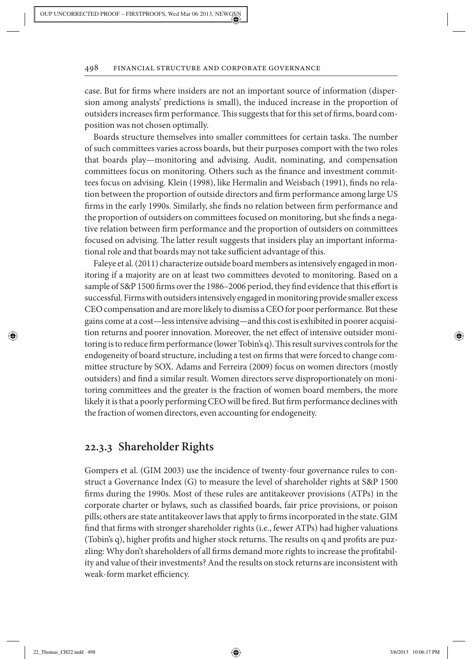case. But for firms where insiders are not an important source of information (dispersion among analysts' predictions is small), the induced increase in the proportion of outsiders increases firm performance. This suggests that for this set of firms, board composition was not chosen optimally.

Boards structure themselves into smaller committees for certain tasks. The number of such committees varies across boards, but their purposes comport with the two roles that boards play—monitoring and advising. Audit, nominating, and compensation committees focus on monitoring. Others such as the finance and investment committees focus on advising. Klein (1998), like Hermalin and Weisbach (1991), finds no relation between the proportion of outside directors and firm performance among large US firms in the early 1990s. Similarly, she finds no relation between firm performance and the proportion of outsiders on committees focused on monitoring, but she finds a negative relation between firm performance and the proportion of outsiders on committees focused on advising. The latter result suggests that insiders play an important informational role and that boards may not take sufficient advantage of this.

 Faleye et al. (2011) characterize outside board members as intensively engaged in monitoring if a majority are on at least two committees devoted to monitoring. Based on a sample of S&P 1500 firms over the 1986–2006 period, they find evidence that this effort is successful. Firms with outsiders intensively engaged in monitoring provide smaller excess CEO compensation and are more likely to dismiss a CEO for poor performance. But these gains come at a cost—less intensive advising—and this cost is exhibited in poorer acquisition returns and poorer innovation. Moreover, the net effect of intensive outsider monitoring is to reduce firm performance (lower Tobin's q). This result survives controls for the endogeneity of board structure, including a test on firms that were forced to change committee structure by SOX. Adams and Ferreira (2009) focus on women directors (mostly outsiders) and find a similar result. Women directors serve disproportionately on monitoring committees and the greater is the fraction of women board members, the more likely it is that a poorly performing CEO will be fired. But firm performance declines with the fraction of women directors, even accounting for endogeneity.

## **22.3.3 Shareholder Rights**

 Gompers et al. (GIM 2003) use the incidence of twenty-four governance rules to construct a Governance Index (G) to measure the level of shareholder rights at S&P 1500 firms during the 1990s. Most of these rules are antitakeover provisions (ATPs) in the corporate charter or bylaws, such as classified boards, fair price provisions, or poison pills; others are state antitakeover laws that apply to firms incorporated in the state. GIM find that firms with stronger shareholder rights (i.e., fewer ATPs) had higher valuations (Tobin's q), higher profits and higher stock returns. The results on q and profits are puzzling: Why don't shareholders of all firms demand more rights to increase the profitability and value of their investments? And the results on stock returns are inconsistent with weak-form market efficiency.

⊕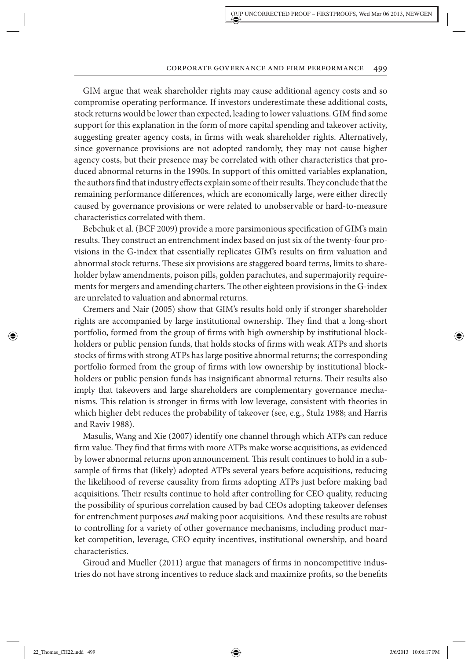GIM argue that weak shareholder rights may cause additional agency costs and so compromise operating performance. If investors underestimate these additional costs, stock returns would be lower than expected, leading to lower valuations. GIM find some support for this explanation in the form of more capital spending and takeover activity, suggesting greater agency costs, in firms with weak shareholder rights. Alternatively, since governance provisions are not adopted randomly, they may not cause higher agency costs, but their presence may be correlated with other characteristics that produced abnormal returns in the 1990s. In support of this omitted variables explanation, the authors find that industry effects explain some of their results. They conclude that the remaining performance differences, which are economically large, were either directly caused by governance provisions or were related to unobservable or hard-to-measure characteristics correlated with them.

Bebchuk et al. (BCF 2009) provide a more parsimonious specification of GIM's main results. They construct an entrenchment index based on just six of the twenty-four provisions in the G-index that essentially replicates GIM's results on firm valuation and abnormal stock returns. These six provisions are staggered board terms, limits to shareholder bylaw amendments, poison pills, golden parachutes, and supermajority requirements for mergers and amending charters. The other eighteen provisions in the G-index are unrelated to valuation and abnormal returns.

 Cremers and Nair (2005) show that GIM's results hold only if stronger shareholder rights are accompanied by large institutional ownership. They find that a long-short portfolio, formed from the group of firms with high ownership by institutional blockholders or public pension funds, that holds stocks of firms with weak ATPs and shorts stocks of firms with strong ATPs has large positive abnormal returns; the corresponding portfolio formed from the group of firms with low ownership by institutional blockholders or public pension funds has insignificant abnormal returns. Their results also imply that takeovers and large shareholders are complementary governance mechanisms. This relation is stronger in firms with low leverage, consistent with theories in which higher debt reduces the probability of takeover (see, e.g., Stulz 1988; and Harris and Raviv 1988).

 Masulis, Wang and Xie (2007) identify one channel through which ATPs can reduce firm value. They find that firms with more ATPs make worse acquisitions, as evidenced by lower abnormal returns upon announcement. This result continues to hold in a subsample of firms that (likely) adopted ATPs several years before acquisitions, reducing the likelihood of reverse causality from firms adopting ATPs just before making bad acquisitions. Their results continue to hold after controlling for CEO quality, reducing the possibility of spurious correlation caused by bad CEOs adopting takeover defenses for entrenchment purposes *and* making poor acquisitions. And these results are robust to controlling for a variety of other governance mechanisms, including product market competition, leverage, CEO equity incentives, institutional ownership, and board characteristics.

Giroud and Mueller (2011) argue that managers of firms in noncompetitive industries do not have strong incentives to reduce slack and maximize profits, so the benefits

22\_Thomas\_CH22.indd 499  $\bigoplus$  3/6/2013 10:06:17 PM  $\bigoplus$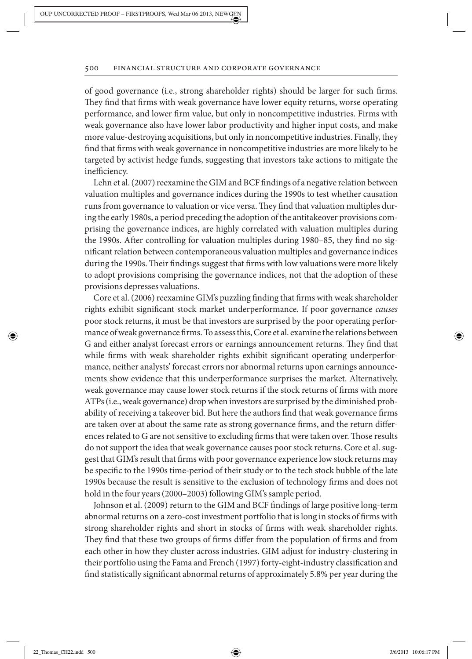of good governance (i.e., strong shareholder rights) should be larger for such firms. They find that firms with weak governance have lower equity returns, worse operating performance, and lower firm value, but only in noncompetitive industries. Firms with weak governance also have lower labor productivity and higher input costs, and make more value-destroying acquisitions, but only in noncompetitive industries. Finally, they find that firms with weak governance in noncompetitive industries are more likely to be targeted by activist hedge funds, suggesting that investors take actions to mitigate the inefficiency.

Lehn et al. (2007) reexamine the GIM and BCF findings of a negative relation between valuation multiples and governance indices during the 1990s to test whether causation runs from governance to valuation or vice versa. They find that valuation multiples during the early 1980s, a period preceding the adoption of the antitakeover provisions comprising the governance indices, are highly correlated with valuation multiples during the 1990s. After controlling for valuation multiples during 1980–85, they find no significant relation between contemporaneous valuation multiples and governance indices during the 1990s. Their findings suggest that firms with low valuations were more likely to adopt provisions comprising the governance indices, not that the adoption of these provisions depresses valuations.

Core et al. (2006) reexamine GIM's puzzling finding that firms with weak shareholder rights exhibit significant stock market underperformance. If poor governance *causes* poor stock returns, it must be that investors are surprised by the poor operating performance of weak governance firms. To assess this, Core et al. examine the relations between G and either analyst forecast errors or earnings announcement returns. They find that while firms with weak shareholder rights exhibit significant operating underperformance, neither analysts' forecast errors nor abnormal returns upon earnings announcements show evidence that this underperformance surprises the market. Alternatively, weak governance may cause lower stock returns if the stock returns of firms with more ATPs (i.e., weak governance) drop when investors are surprised by the diminished probability of receiving a takeover bid. But here the authors find that weak governance firms are taken over at about the same rate as strong governance firms, and the return differences related to G are not sensitive to excluding firms that were taken over. Those results do not support the idea that weak governance causes poor stock returns. Core et al. suggest that GIM's result that firms with poor governance experience low stock returns may be specific to the 1990s time-period of their study or to the tech stock bubble of the late 1990s because the result is sensitive to the exclusion of technology firms and does not hold in the four years (2000–2003) following GIM's sample period.

Johnson et al. (2009) return to the GIM and BCF findings of large positive long-term abnormal returns on a zero-cost investment portfolio that is long in stocks of firms with strong shareholder rights and short in stocks of firms with weak shareholder rights. They find that these two groups of firms differ from the population of firms and from each other in how they cluster across industries. GIM adjust for industry-clustering in their portfolio using the Fama and French (1997) forty-eight-industry classification and find statistically significant abnormal returns of approximately 5.8% per year during the

⊕

↔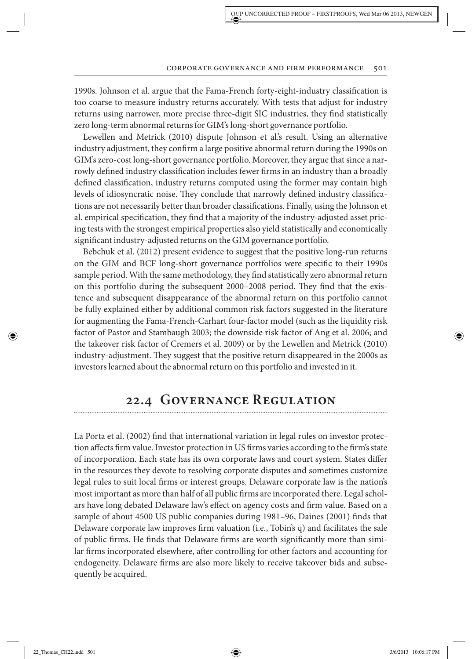1990s. Johnson et al. argue that the Fama-French forty-eight-industry classification is too coarse to measure industry returns accurately. With tests that adjust for industry returns using narrower, more precise three-digit SIC industries, they find statistically zero long-term abnormal returns for GIM's long-short governance portfolio.

 Lewellen and Metrick (2010) dispute Johnson et al.'s result. Using an alternative industry adjustment, they confirm a large positive abnormal return during the 1990s on GIM's zero-cost long-short governance portfolio. Moreover, they argue that since a narrowly defined industry classification includes fewer firms in an industry than a broadly defined classification, industry returns computed using the former may contain high levels of idiosyncratic noise. They conclude that narrowly defined industry classifications are not necessarily better than broader classifications. Finally, using the Johnson et al. empirical specification, they find that a majority of the industry-adjusted asset pricing tests with the strongest empirical properties also yield statistically and economically significant industry-adjusted returns on the GIM governance portfolio.

 Bebchuk et al. (2012) present evidence to suggest that the positive long-run returns on the GIM and BCF long-short governance portfolios were specific to their 1990s sample period. With the same methodology, they find statistically zero abnormal return on this portfolio during the subsequent 2000–2008 period. They find that the existence and subsequent disappearance of the abnormal return on this portfolio cannot be fully explained either by additional common risk factors suggested in the literature for augmenting the Fama-French-Carhart four-factor model (such as the liquidity risk factor of Pastor and Stambaugh 2003; the downside risk factor of Ang et al. 2006; and the takeover risk factor of Cremers et al. 2009) or by the Lewellen and Metrick (2010) industry-adjustment. They suggest that the positive return disappeared in the 2000s as investors learned about the abnormal return on this portfolio and invested in it.

# **22.4 Governance Regulation**

La Porta et al. (2002) find that international variation in legal rules on investor protection affects firm value. Investor protection in US firms varies according to the firm's state of incorporation. Each state has its own corporate laws and court system. States differ in the resources they devote to resolving corporate disputes and sometimes customize legal rules to suit local firms or interest groups. Delaware corporate law is the nation's most important as more than half of all public firms are incorporated there. Legal scholars have long debated Delaware law's effect on agency costs and firm value. Based on a sample of about 4500 US public companies during 1981–96, Daines (2001) finds that Delaware corporate law improves firm valuation (i.e., Tobin's q) and facilitates the sale of public firms. He finds that Delaware firms are worth significantly more than similar firms incorporated elsewhere, after controlling for other factors and accounting for endogeneity. Delaware firms are also more likely to receive takeover bids and subsequently be acquired.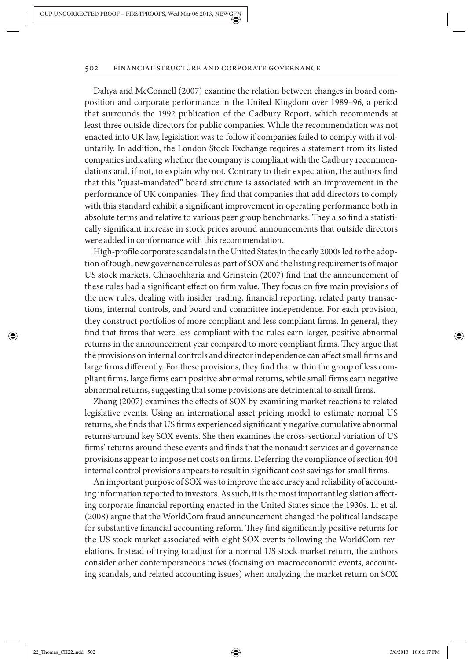Dahya and McConnell (2007) examine the relation between changes in board composition and corporate performance in the United Kingdom over 1989–96, a period that surrounds the 1992 publication of the Cadbury Report, which recommends at least three outside directors for public companies. While the recommendation was not enacted into UK law, legislation was to follow if companies failed to comply with it voluntarily. In addition, the London Stock Exchange requires a statement from its listed companies indicating whether the company is compliant with the Cadbury recommendations and, if not, to explain why not. Contrary to their expectation, the authors find that this "quasi-mandated" board structure is associated with an improvement in the performance of UK companies. They find that companies that add directors to comply with this standard exhibit a significant improvement in operating performance both in absolute terms and relative to various peer group benchmarks. They also find a statistically significant increase in stock prices around announcements that outside directors were added in conformance with this recommendation.

High-profile corporate scandals in the United States in the early 2000s led to the adoption of tough, new governance rules as part of SOX and the listing requirements of major US stock markets. Chhaochharia and Grinstein (2007) find that the announcement of these rules had a significant effect on firm value. They focus on five main provisions of the new rules, dealing with insider trading, financial reporting, related party transactions, internal controls, and board and committee independence. For each provision, they construct portfolios of more compliant and less compliant firms. In general, they find that firms that were less compliant with the rules earn larger, positive abnormal returns in the announcement year compared to more compliant firms. They argue that the provisions on internal controls and director independence can affect small firms and large firms differently. For these provisions, they find that within the group of less compliant firms, large firms earn positive abnormal returns, while small firms earn negative abnormal returns, suggesting that some provisions are detrimental to small firms.

Zhang (2007) examines the effects of SOX by examining market reactions to related legislative events. Using an international asset pricing model to estimate normal US returns, she finds that US firms experienced significantly negative cumulative abnormal returns around key SOX events. She then examines the cross-sectional variation of US firms' returns around these events and finds that the nonaudit services and governance provisions appear to impose net costs on firms. Deferring the compliance of section 404 internal control provisions appears to result in significant cost savings for small firms.

 An important purpose of SOX was to improve the accuracy and reliability of accounting information reported to investors. As such, it is the most important legislation affecting corporate financial reporting enacted in the United States since the 1930s. Li et al. (2008) argue that the WorldCom fraud announcement changed the political landscape for substantive financial accounting reform. They find significantly positive returns for the US stock market associated with eight SOX events following the WorldCom revelations. Instead of trying to adjust for a normal US stock market return, the authors consider other contemporaneous news (focusing on macroeconomic events, accounting scandals, and related accounting issues) when analyzing the market return on SOX

⊕

⇔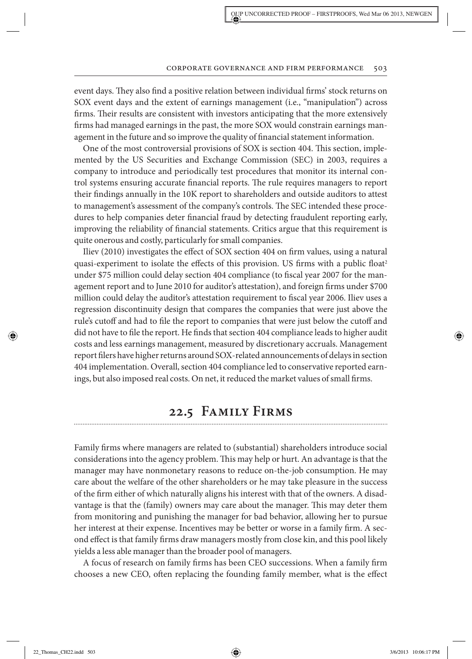event days. They also find a positive relation between individual firms' stock returns on SOX event days and the extent of earnings management (i.e., "manipulation") across firms. Their results are consistent with investors anticipating that the more extensively firms had managed earnings in the past, the more SOX would constrain earnings management in the future and so improve the quality of financial statement information.

One of the most controversial provisions of SOX is section 404. This section, implemented by the US Securities and Exchange Commission (SEC) in 2003, requires a company to introduce and periodically test procedures that monitor its internal control systems ensuring accurate financial reports. The rule requires managers to report their findings annually in the 10K report to shareholders and outside auditors to attest to management's assessment of the company's controls. The SEC intended these procedures to help companies deter financial fraud by detecting fraudulent reporting early, improving the reliability of financial statements. Critics argue that this requirement is quite onerous and costly, particularly for small companies.

Iliev (2010) investigates the effect of SOX section 404 on firm values, using a natural quasi-experiment to isolate the effects of this provision. US firms with a public float<sup>2</sup> under \$75 million could delay section 404 compliance (to fiscal year 2007 for the management report and to June 2010 for auditor's attestation), and foreign firms under \$700 million could delay the auditor's attestation requirement to fiscal year 2006. Iliev uses a regression discontinuity design that compares the companies that were just above the rule's cutoff and had to file the report to companies that were just below the cutoff and did not have to file the report. He finds that section 404 compliance leads to higher audit costs and less earnings management, measured by discretionary accruals. Management report filers have higher returns around SOX-related announcements of delays in section 404 implementation. Overall, section 404 compliance led to conservative reported earnings, but also imposed real costs. On net, it reduced the market values of small firms.

# **22.5 Family Firms**

Family firms where managers are related to (substantial) shareholders introduce social considerations into the agency problem. This may help or hurt. An advantage is that the manager may have nonmonetary reasons to reduce on-the-job consumption. He may care about the welfare of the other shareholders or he may take pleasure in the success of the firm either of which naturally aligns his interest with that of the owners. A disadvantage is that the (family) owners may care about the manager. This may deter them from monitoring and punishing the manager for bad behavior, allowing her to pursue her interest at their expense. Incentives may be better or worse in a family firm. A second effect is that family firms draw managers mostly from close kin, and this pool likely yields a less able manager than the broader pool of managers.

A focus of research on family firms has been CEO successions. When a family firm chooses a new CEO, often replacing the founding family member, what is the effect

22\_Thomas\_CH22.indd 503 236/2013 10:06:17 PM /6/2013 10:06:17 PM /6/2013 10:06:17 PM /6/2013 10:06:17 PM /6/20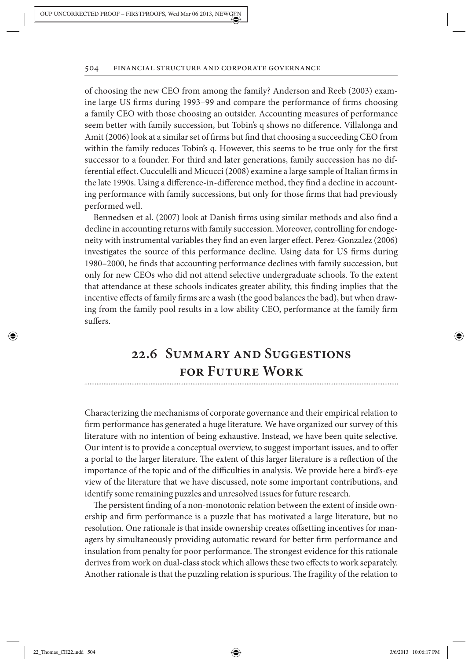of choosing the new CEO from among the family? Anderson and Reeb (2003) examine large US firms during 1993–99 and compare the performance of firms choosing a family CEO with those choosing an outsider. Accounting measures of performance seem better with family succession, but Tobin's q shows no difference. Villalonga and Amit (2006) look at a similar set of firms but find that choosing a succeeding CEO from within the family reduces Tobin's q. However, this seems to be true only for the first successor to a founder. For third and later generations, family succession has no differential effect. Cucculelli and Micucci (2008) examine a large sample of Italian firms in the late 1990s. Using a difference-in-difference method, they find a decline in accounting performance with family successions, but only for those firms that had previously performed well.

Bennedsen et al. (2007) look at Danish firms using similar methods and also find a decline in accounting returns with family succession. Moreover, controlling for endogeneity with instrumental variables they find an even larger effect. Perez-Gonzalez (2006) investigates the source of this performance decline. Using data for US firms during 1980-2000, he finds that accounting performance declines with family succession, but only for new CEOs who did not attend selective undergraduate schools. To the extent that attendance at these schools indicates greater ability, this finding implies that the incentive effects of family firms are a wash (the good balances the bad), but when drawing from the family pool results in a low ability CEO, performance at the family firm suffers.

# **22.6 Summary and Suggestions for Future Work**

 Characterizing the mechanisms of corporate governance and their empirical relation to firm performance has generated a huge literature. We have organized our survey of this literature with no intention of being exhaustive. Instead, we have been quite selective. Our intent is to provide a conceptual overview, to suggest important issues, and to offer a portal to the larger literature. The extent of this larger literature is a reflection of the importance of the topic and of the difficulties in analysis. We provide here a bird's-eye view of the literature that we have discussed, note some important contributions, and identify some remaining puzzles and unresolved issues for future research.

The persistent finding of a non-monotonic relation between the extent of inside ownership and firm performance is a puzzle that has motivated a large literature, but no resolution. One rationale is that inside ownership creates offsetting incentives for managers by simultaneously providing automatic reward for better firm performance and insulation from penalty for poor performance. The strongest evidence for this rationale derives from work on dual-class stock which allows these two effects to work separately. Another rationale is that the puzzling relation is spurious. The fragility of the relation to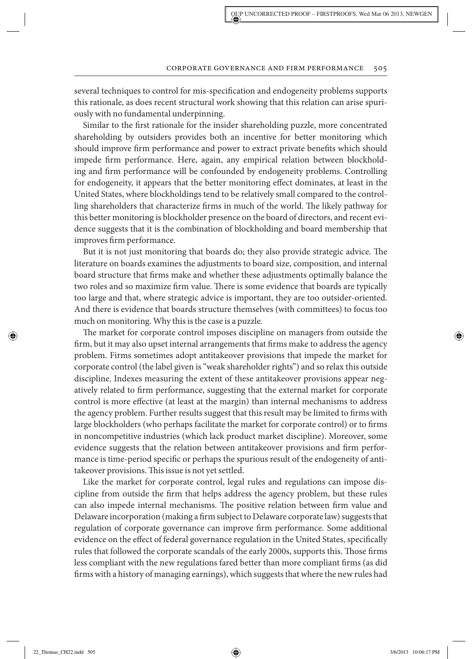several techniques to control for mis-specification and endogeneity problems supports this rationale, as does recent structural work showing that this relation can arise spuriously with no fundamental underpinning.

Similar to the first rationale for the insider shareholding puzzle, more concentrated shareholding by outsiders provides both an incentive for better monitoring which should improve firm performance and power to extract private benefits which should impede firm performance. Here, again, any empirical relation between blockholding and firm performance will be confounded by endogeneity problems. Controlling for endogeneity, it appears that the better monitoring effect dominates, at least in the United States, where blockholdings tend to be relatively small compared to the controlling shareholders that characterize firms in much of the world. The likely pathway for this better monitoring is blockholder presence on the board of directors, and recent evidence suggests that it is the combination of blockholding and board membership that improves firm performance.

But it is not just monitoring that boards do; they also provide strategic advice. The literature on boards examines the adjustments to board size, composition, and internal board structure that firms make and whether these adjustments optimally balance the two roles and so maximize firm value. There is some evidence that boards are typically too large and that, where strategic advice is important, they are too outsider-oriented. And there is evidence that boards structure themselves (with committees) to focus too much on monitoring. Why this is the case is a puzzle.

The market for corporate control imposes discipline on managers from outside the firm, but it may also upset internal arrangements that firms make to address the agency problem. Firms sometimes adopt antitakeover provisions that impede the market for corporate control (the label given is "weak shareholder rights") and so relax this outside discipline. Indexes measuring the extent of these antitakeover provisions appear negatively related to firm performance, suggesting that the external market for corporate control is more effective (at least at the margin) than internal mechanisms to address the agency problem. Further results suggest that this result may be limited to firms with large blockholders (who perhaps facilitate the market for corporate control) or to firms in noncompetitive industries (which lack product market discipline). Moreover, some evidence suggests that the relation between antitakeover provisions and firm performance is time-period specific or perhaps the spurious result of the endogeneity of antitakeover provisions. This issue is not yet settled.

 Like the market for corporate control, legal rules and regulations can impose discipline from outside the firm that helps address the agency problem, but these rules can also impede internal mechanisms. The positive relation between firm value and Delaware incorporation (making a firm subject to Delaware corporate law) suggests that regulation of corporate governance can improve firm performance. Some additional evidence on the effect of federal governance regulation in the United States, specifically rules that followed the corporate scandals of the early 2000s, supports this. Those firms less compliant with the new regulations fared better than more compliant firms (as did firms with a history of managing earnings), which suggests that where the new rules had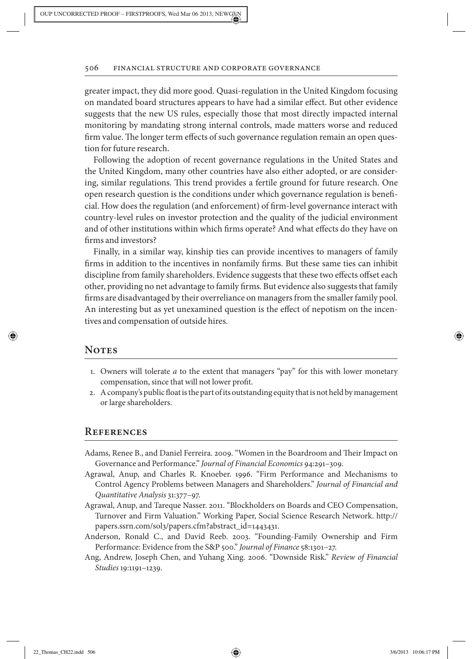greater impact, they did more good. Quasi-regulation in the United Kingdom focusing on mandated board structures appears to have had a similar effect. But other evidence suggests that the new US rules, especially those that most directly impacted internal monitoring by mandating strong internal controls, made matters worse and reduced firm value. The longer term effects of such governance regulation remain an open question for future research.

 Following the adoption of recent governance regulations in the United States and the United Kingdom, many other countries have also either adopted, or are considering, similar regulations. This trend provides a fertile ground for future research. One open research question is the conditions under which governance regulation is benefi cial. How does the regulation (and enforcement) of firm-level governance interact with country-level rules on investor protection and the quality of the judicial environment and of other institutions within which firms operate? And what effects do they have on firms and investors?

 Finally, in a similar way, kinship ties can provide incentives to managers of family firms in addition to the incentives in nonfamily firms. But these same ties can inhibit discipline from family shareholders. Evidence suggests that these two effects offset each other, providing no net advantage to family firms. But evidence also suggests that family firms are disadvantaged by their overreliance on managers from the smaller family pool. An interesting but as yet unexamined question is the effect of nepotism on the incentives and compensation of outside hires.

#### **Notes**

- 1 . Owners will tolerate *a* to the extent that managers "pay" for this with lower monetary compensation, since that will not lower profit.
- 2. A company's public float is the part of its outstanding equity that is not held by management or large shareholders.

#### **References**

- Adams, Renee B., and Daniel Ferreira. 2009. "Women in the Boardroom and Their Impact on Governance and Performance." *Journal of Financial Economics* 94:291-309.
- Agrawal, Anup, and Charles R. Knoeber. 1996. " Firm Performance and Mechanisms to Control Agency Problems between Managers and Shareholders." *Journal of Financial and Quantitative Analysis* 31: 377–97 .
- Agrawal, Anup, and Tareque Nasser. 2011. "Blockholders on Boards and CEO Compensation, Turnover and Firm Valuation." Working Paper, Social Science Research Network. http:// papers.ssrn.com/sol3/papers.cfm?abstract\_id=1443431.
- Anderson, Ronald C., and David Reeb. 2003. " Founding-Family Ownership and Firm Performance: Evidence from the S&P 500." *Journal of Finance* 58:1301-27.
- Ang, Andrew, Joseph Chen, and Yuhang Xing. 2006. " Downside Risk." *Review of Financial Studies* 19:1191-1239.

22\_Thomas\_CH22.indd 506 2013 10:06:17 PM  $\bigoplus$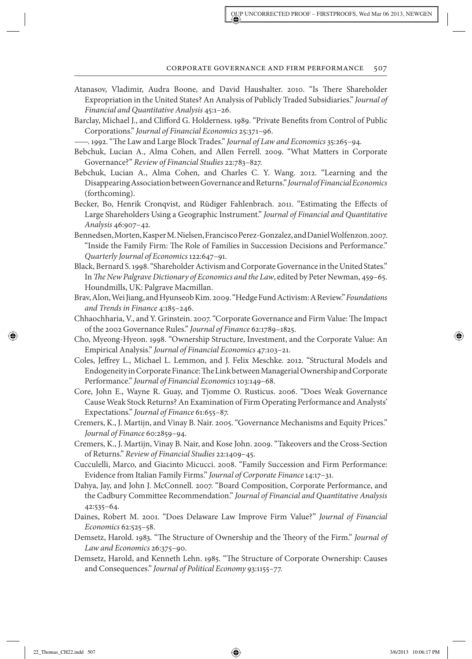- Atanasov, Vladimir, Audra Boone, and David Haushalter. 2010. "Is There Shareholder Expropriation in the United States? An Analysis of Publicly Traded Subsidiaries." *Journal of*  Financial and Quantitative Analysis 45:1-26.
- Barclay, Michael J., and Clifford G. Holderness. 1989. "Private Benefits from Control of Public Corporations." *Journal of Financial Economics* 25:371-96.
- -. 1992. "The Law and Large Block Trades." *Journal of Law and Economics* 35:265-94.
- Bebchuk, Lucian A., Alma Cohen, and Allen Ferrell. 2009. " What Matters in Corporate Governance?" Review of Financial Studies 22:783-827.
- Bebchuk, Lucian A., Alma Cohen, and Charles C. Y. Wang. 2012. " Learning and the Disappearing Association between Governance and Returns." *Journal of Financial Economics* (forthcoming).
- Becker, Bo, Henrik Cronqvist, and Rüdiger Fahlenbrach. 2011. "Estimating the Effects of Large Shareholders Using a Geographic Instrument." *Journal of Financial and Quantitative Analysis* 46:907-42.
- Bennedsen, Morten, Kasper M. Nielsen, Francisco Perez-Gonzalez, and Daniel Wolfenzon. 2007. "Inside the Family Firm: The Role of Families in Succession Decisions and Performance." *Quarterly Journal of Economics* 122: 647–91 .
- Black, Bernard S. 1998. "Shareholder Activism and Corporate Governance in the United States." In *The New Palgrave Dictionary of Economics and the Law*, edited by Peter Newman, 459-65. Houndmills, UK: Palgrave Macmillan.
- Brav, Alon, Wei Jiang, and Hyunseob Kim. 2009. " Hedge Fund Activism: A Review." *Foundations*  and Trends in Finance 4:185-246.
- Chhaochharia, V., and Y. Grinstein. 2007. "Corporate Governance and Firm Value: The Impact of the 2002 Governance Rules." *Journal of Finance* 62: 1789–1825 .
- Cho, Myeong-Hyeon. 1998. " Ownership Structure, Investment, and the Corporate Value: An Empirical Analysis." *Journal of Financial Economics* 47: 103–21 .
- Coles, Jeffrey L., Michael L. Lemmon, and J. Felix Meschke. 2012. "Structural Models and Endogeneity in Corporate Finance: The Link between Managerial Ownership and Corporate Performance." *Journal of Financial Economics* 103:149-68.
- Core, John E., Wayne R. Guay, and Tjomme O. Rusticus. 2006. " Does Weak Governance Cause Weak Stock Returns? An Examination of Firm Operating Performance and Analysts' Expectations." *Journal of Finance* 61:655-87.
- Cremers, K., J. Martijn, and Vinay B. Nair. 2005. " Governance Mechanisms and Equity Prices." *Journal of Finance* 60: 2859–94 .
- Cremers, K., J. Martijn, Vinay B. Nair, and Kose John. 2009. " Takeovers and the Cross-Section of Returns." *Review of Financial Studies* 22: 1409–45 .
- Cucculelli, Marco, and Giacinto Micucci. 2008. " Family Succession and Firm Performance: Evidence from Italian Family Firms." *Journal of Corporate Finance* 14: 17–31 .
- Dahya, Jay, and John J. McConnell. 2007. " Board Composition, Corporate Performance, and the Cadbury Committee Recommendation." *Journal of Financial and Quantitative Analysis*  $42:535-64.$
- Daines, Robert M. 2001. " Does Delaware Law Improve Firm Value?" *Journal of Financial Economics* 62:525–58.
- Demsetz, Harold. 1983. "The Structure of Ownership and the Theory of the Firm." *Journal of Law and Economics* 26: 375–90 .
- Demsetz, Harold, and Kenneth Lehn. 1985. "The Structure of Corporate Ownership: Causes and Consequences." *Journal of Political Economy* 93:1155-77.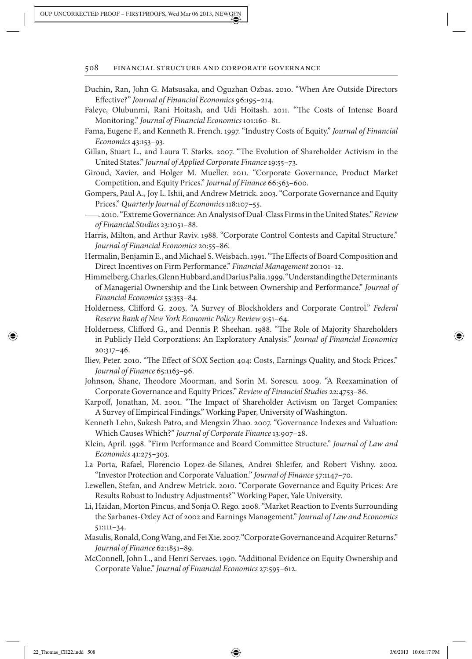- Duchin, Ran, John G. Matsusaka, and Oguzhan Ozbas. 2010. " When Are Outside Directors Effective?" *Journal of Financial Economics* 96:195-214.
- Faleye, Olubunmi, Rani Hoitash, and Udi Hoitash. 2011. "The Costs of Intense Board Monitoring." *Journal of Financial Economics* 101: 160–81.
- Fama, Eugene F., and Kenneth R. French. 1997. " Industry Costs of Equity." *Journal of Financial Economics* 43:153-93.
- Gillan, Stuart L., and Laura T. Starks. 2007. "The Evolution of Shareholder Activism in the United States." *Journal of Applied Corporate Finance* 19:55-73.
- Giroud, Xavier, and Holger M. Mueller. 2011. " Corporate Governance, Product Market Competition, and Equity Prices." *Journal of Finance* 66:563-600.
- Gompers, Paul A., Joy L. Ishii, and Andrew Metrick. 2003. " Corporate Governance and Equity Prices." Quarterly Journal of Economics 118:107-55.
- ——. 2010. " Extreme Governance: An Analysis of Dual-Class Firms in the United States." *Review of Financial Studies* 23: 1051–88 .
- Harris, Milton, and Arthur Raviv. 1988. " Corporate Control Contests and Capital Structure." *Journal of Financial Economics* 20:55-86.
- Hermalin, Benjamin E., and Michael S. Weisbach. 1991. "The Effects of Board Composition and Direct Incentives on Firm Performance." *Financial Management* 20:101-12.
- Himmelberg, Charles, Glenn Hubbard, and Darius Palia. 1999. " Understanding the Determinants of Managerial Ownership and the Link between Ownership and Performance." *Journal of Financial Economics* 53: 353–84 .
- Holderness, Clifford G. 2003. "A Survey of Blockholders and Corporate Control." *Federal Reserve Bank of New York Economic Policy Review* 9:51-64.
- Holderness, Clifford G., and Dennis P. Sheehan. 1988. "The Role of Majority Shareholders in Publicly Held Corporations: An Exploratory Analysis." *Journal of Financial Economics*  $20:317-46.$
- Iliev, Peter. 2010. "The Effect of SOX Section 404: Costs, Earnings Quality, and Stock Prices." *Journal of Finance* 65:1163-96.
- Johnson, Shane, Theodore Moorman, and Sorin M. Sorescu. 2009. "A Reexamination of Corporate Governance and Equity Prices." *Review of Financial Studies* 22: 4753–86 .
- Karpoff, Jonathan, M. 2001. "The Impact of Shareholder Activism on Target Companies: A Survey of Empirical Findings." Working Paper, University of Washington.
- Kenneth Lehn, Sukesh Patro, and Mengxin Zhao. 2007. " Governance Indexes and Valuation: Which Causes Which?" *Journal of Corporate Finance* 13: 907–28 .
- Klein, April. 1998. " Firm Performance and Board Committee Structure." *Journal of Law and Economics* 41:275-303.
- La Porta, Rafael, Florencio Lopez-de-Silanes, Andrei Shleifer, and Robert Vishny. 2002. " Investor Protection and Corporate Valuation." *Journal of Finance* 57: 1147–70 .
- Lewellen, Stefan, and Andrew Metrick. 2010. "Corporate Governance and Equity Prices: Are Results Robust to Industry Adjustments?" Working Paper, Yale University.
- Li, Haidan, Morton Pincus, and Sonja O. Rego. 2008. " Market Reaction to Events Surrounding the Sarbanes-Oxley Act of 2002 and Earnings Management." *Journal of Law and Economics* 51: 111–34 .
- Masulis, Ronald, Cong Wang, and Fei Xie. 2007. " Corporate Governance and Acquirer Returns." *Journal of Finance* 62: 1851–89 .
- McConnell, John L., and Henri Servaes. 1990. " Additional Evidence on Equity Ownership and Corporate Value." *Journal of Financial Economics* 27:595-612.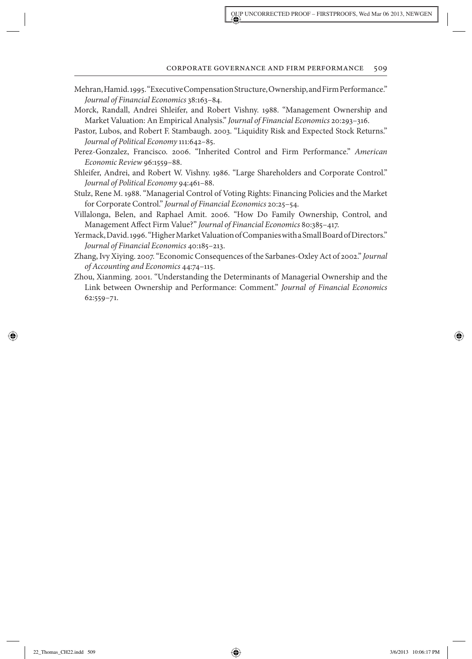- Mehran, Hamid. 1995. " Executive Compensation Structure, Ownership, and Firm Performance." *Journal of Financial Economics* 38: 163–84 .
- Morck, Randall, Andrei Shleifer, and Robert Vishny. 1988. " Management Ownership and Market Valuation: An Empirical Analysis." *Journal of Financial Economics* 20:293-316.
- Pastor, Lubos, and Robert F. Stambaugh. 2003. " Liquidity Risk and Expected Stock Returns." Journal of Political Economy 111:642-85.
- Perez-Gonzalez, Francisco. 2006. " Inherited Control and Firm Performance." *American Economic Review* 96:1559-88.
- Shleifer, Andrei, and Robert W. Vishny. 1986. " Large Shareholders and Corporate Control." *Journal of Political Economy* 94: 461–88 .
- Stulz, Rene M. 1988. " Managerial Control of Voting Rights: Financing Policies and the Market for Corporate Control." *Journal of Financial Economics* 20:25-54.
- Villalonga, Belen, and Raphael Amit. 2006. " How Do Family Ownership, Control, and Management Affect Firm Value?" *Journal of Financial Economics* 80:385-417.
- Yermack, David. 1996. " Higher Market Valuation of Companies with a Small Board of Directors." *Journal of Financial Economics* 40: 185–213 .
- Zhang, Ivy Xiying. 2007. " Economic Consequences of the Sarbanes-Oxley Act of 2002." *Journal of Accounting and Economics* 44: 74–115 .
- Zhou, Xianming. 2001. " Understanding the Determinants of Managerial Ownership and the Link between Ownership and Performance: Comment." *Journal of Financial Economics*  $62:559 - 71.$